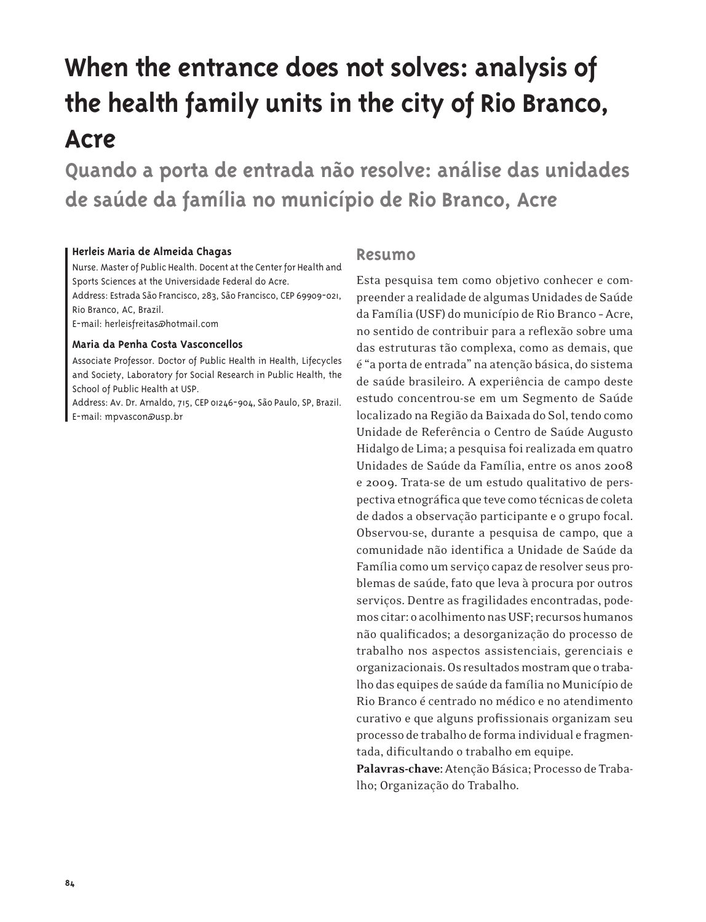# **When the entrance does not solves: analysis of the health family units in the city of Rio Branco, Acre**

**Quando a porta de entrada não resolve: análise das unidades de saúde da família no município de Rio Branco, Acre**

#### **Herleis Maria de Almeida Chagas**

Nurse. Master of Public Health. Docent at the Center for Health and Sports Sciences at the Universidade Federal do Acre.

Address: Estrada São Francisco, 283, São Francisco, CEP 69909-021, Rio Branco, AC, Brazil.

E-mail: herleisfreitas@hotmail.com

#### **Maria da Penha Costa Vasconcellos**

Associate Professor. Doctor of Public Health in Health, Lifecycles and Society, Laboratory for Social Research in Public Health, the School of Public Health at USP.

Address: Av. Dr. Arnaldo, 715, CEP 01246-904, São Paulo, SP, Brazil. E-mail: mpvascon@usp.br

#### **Resumo**

Esta pesquisa tem como objetivo conhecer e compreender a realidade de algumas Unidades de Saúde da Família (USF) do município de Rio Branco – Acre, no sentido de contribuir para a reflexão sobre uma das estruturas tão complexa, como as demais, que é "a porta de entrada" na atenção básica, do sistema de saúde brasileiro. A experiência de campo deste estudo concentrou-se em um Segmento de Saúde localizado na Região da Baixada do Sol, tendo como Unidade de Referência o Centro de Saúde Augusto Hidalgo de Lima; a pesquisa foi realizada em quatro Unidades de Saúde da Família, entre os anos 2008 e 2009. Trata-se de um estudo qualitativo de perspectiva etnográfica que teve como técnicas de coleta de dados a observação participante e o grupo focal. Observou-se, durante a pesquisa de campo, que a comunidade não identifica a Unidade de Saúde da Família como um serviço capaz de resolver seus problemas de saúde, fato que leva à procura por outros serviços. Dentre as fragilidades encontradas, podemos citar: o acolhimento nas USF; recursos humanos não qualificados; a desorganização do processo de trabalho nos aspectos assistenciais, gerenciais e organizacionais. Os resultados mostram que o trabalho das equipes de saúde da família no Município de Rio Branco é centrado no médico e no atendimento curativo e que alguns profissionais organizam seu processo de trabalho de forma individual e fragmentada, dificultando o trabalho em equipe.

Palavras-chave: Atenção Básica; Processo de Trabalho; Organização do Trabalho.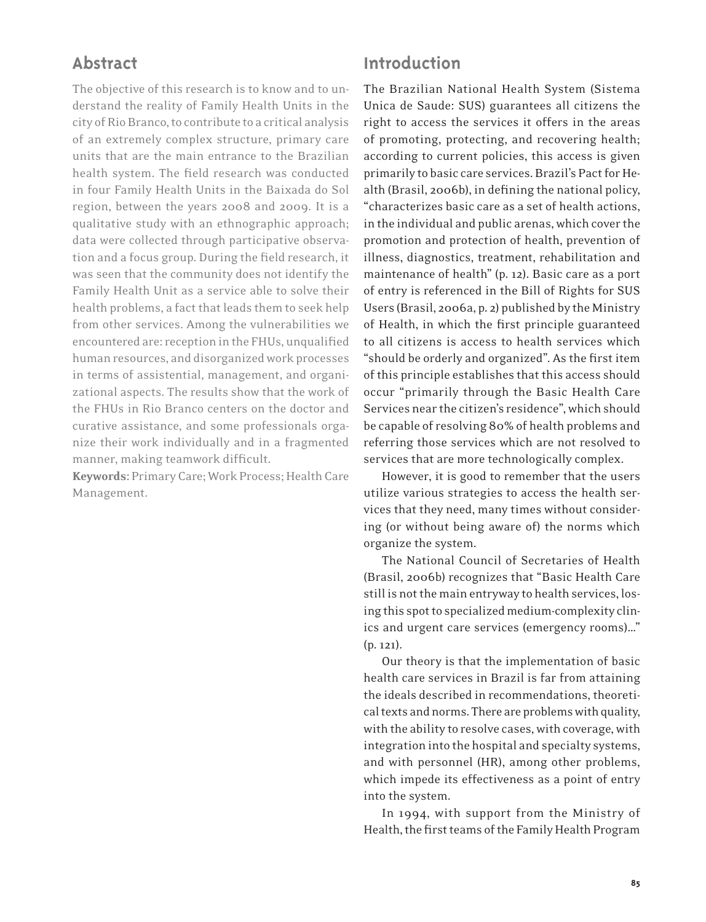# **Abstract**

The objective of this research is to know and to understand the reality of Family Health Units in the city of Rio Branco, to contribute to a critical analysis of an extremely complex structure, primary care units that are the main entrance to the Brazilian health system. The field research was conducted in four Family Health Units in the Baixada do Sol region, between the years 2008 and 2009. It is a qualitative study with an ethnographic approach; data were collected through participative observation and a focus group. During the field research, it was seen that the community does not identify the Family Health Unit as a service able to solve their health problems, a fact that leads them to seek help from other services. Among the vulnerabilities we encountered are: reception in the FHUs, unqualified human resources, and disorganized work processes in terms of assistential, management, and organizational aspects. The results show that the work of the FHUs in Rio Branco centers on the doctor and curative assistance, and some professionals organize their work individually and in a fragmented manner, making teamwork difficult.

Keywords: Primary Care; Work Process; Health Care Management.

#### **Introduction**

The Brazilian National Health System (Sistema Unica de Saude: SUS) guarantees all citizens the right to access the services it offers in the areas of promoting, protecting, and recovering health; according to current policies, this access is given primarily to basic care services. Brazil's Pact for Health (Brasil, 2006b), in defining the national policy, "characterizes basic care as a set of health actions, in the individual and public arenas, which cover the promotion and protection of health, prevention of illness, diagnostics, treatment, rehabilitation and maintenance of health" (p. 12). Basic care as a port of entry is referenced in the Bill of Rights for SUS Users (Brasil, 2006a, p. 2) published by the Ministry of Health, in which the first principle guaranteed to all citizens is access to health services which "should be orderly and organized". As the first item of this principle establishes that this access should occur "primarily through the Basic Health Care Services near the citizen's residence", which should be capable of resolving 80% of health problems and referring those services which are not resolved to services that are more technologically complex.

However, it is good to remember that the users utilize various strategies to access the health services that they need, many times without considering (or without being aware of) the norms which organize the system.

The National Council of Secretaries of Health (Brasil, 2006b) recognizes that "Basic Health Care still is not the main entryway to health services, losing this spot to specialized medium-complexity clinics and urgent care services (emergency rooms)…" (p. 121).

Our theory is that the implementation of basic health care services in Brazil is far from attaining the ideals described in recommendations, theoretical texts and norms. There are problems with quality, with the ability to resolve cases, with coverage, with integration into the hospital and specialty systems, and with personnel (HR), among other problems, which impede its effectiveness as a point of entry into the system.

In 1994, with support from the Ministry of Health, the first teams of the Family Health Program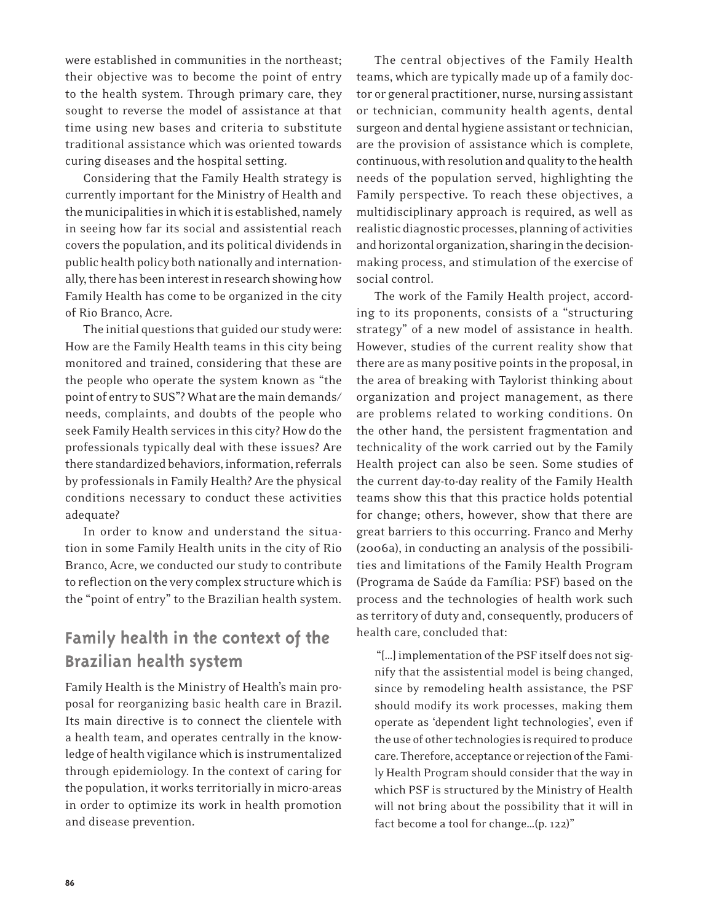were established in communities in the northeast; their objective was to become the point of entry to the health system. Through primary care, they sought to reverse the model of assistance at that time using new bases and criteria to substitute traditional assistance which was oriented towards curing diseases and the hospital setting.

Considering that the Family Health strategy is currently important for the Ministry of Health and the municipalities in which it is established, namely in seeing how far its social and assistential reach covers the population, and its political dividends in public health policy both nationally and internationally, there has been interest in research showing how Family Health has come to be organized in the city of Rio Branco, Acre.

The initial questions that guided our study were: How are the Family Health teams in this city being monitored and trained, considering that these are the people who operate the system known as "the point of entry to SUS"? What are the main demands/ needs, complaints, and doubts of the people who seek Family Health services in this city? How do the professionals typically deal with these issues? Are there standardized behaviors, information, referrals by professionals in Family Health? Are the physical conditions necessary to conduct these activities adequate?

In order to know and understand the situation in some Family Health units in the city of Rio Branco, Acre, we conducted our study to contribute to reflection on the very complex structure which is the "point of entry" to the Brazilian health system.

# **Family health in the context of the Brazilian health system**

Family Health is the Ministry of Health's main proposal for reorganizing basic health care in Brazil. Its main directive is to connect the clientele with a health team, and operates centrally in the knowledge of health vigilance which is instrumentalized through epidemiology. In the context of caring for the population, it works territorially in micro-areas in order to optimize its work in health promotion and disease prevention.

The central objectives of the Family Health teams, which are typically made up of a family doctor or general practitioner, nurse, nursing assistant or technician, community health agents, dental surgeon and dental hygiene assistant or technician, are the provision of assistance which is complete, continuous, with resolution and quality to the health needs of the population served, highlighting the Family perspective. To reach these objectives, a multidisciplinary approach is required, as well as realistic diagnostic processes, planning of activities and horizontal organization, sharing in the decisionmaking process, and stimulation of the exercise of social control.

The work of the Family Health project, according to its proponents, consists of a "structuring strategy" of a new model of assistance in health. However, studies of the current reality show that there are as many positive points in the proposal, in the area of breaking with Taylorist thinking about organization and project management, as there are problems related to working conditions. On the other hand, the persistent fragmentation and technicality of the work carried out by the Family Health project can also be seen. Some studies of the current day-to-day reality of the Family Health teams show this that this practice holds potential for change; others, however, show that there are great barriers to this occurring. Franco and Merhy (2006a), in conducting an analysis of the possibilities and limitations of the Family Health Program (Programa de Saúde da Família: PSF) based on the process and the technologies of health work such as territory of duty and, consequently, producers of health care, concluded that:

 "[…] implementation of the PSF itself does not signify that the assistential model is being changed, since by remodeling health assistance, the PSF should modify its work processes, making them operate as 'dependent light technologies', even if the use of other technologies is required to produce care. Therefore, acceptance or rejection of the Family Health Program should consider that the way in which PSF is structured by the Ministry of Health will not bring about the possibility that it will in fact become a tool for change…(p. 122)"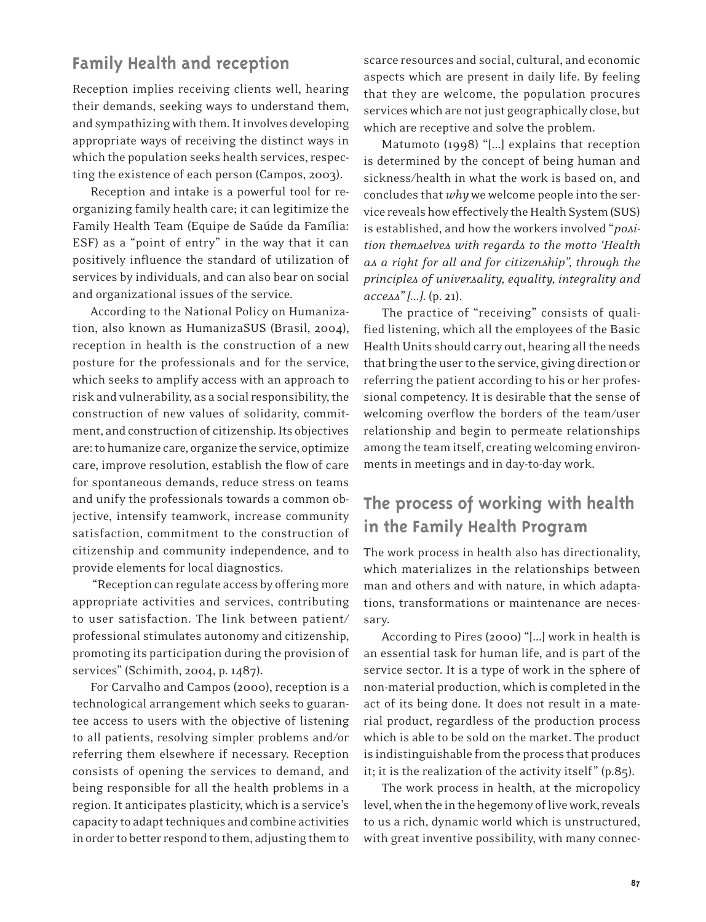## **Family Health and reception**

Reception implies receiving clients well, hearing their demands, seeking ways to understand them, and sympathizing with them. It involves developing appropriate ways of receiving the distinct ways in which the population seeks health services, respecting the existence of each person (Campos, 2003).

Reception and intake is a powerful tool for reorganizing family health care; it can legitimize the Family Health Team (Equipe de Saúde da Família: ESF) as a "point of entry" in the way that it can positively influence the standard of utilization of services by individuals, and can also bear on social and organizational issues of the service.

According to the National Policy on Humanization, also known as HumanizaSUS (Brasil, 2004), reception in health is the construction of a new posture for the professionals and for the service, which seeks to amplify access with an approach to risk and vulnerability, as a social responsibility, the construction of new values of solidarity, commitment, and construction of citizenship. Its objectives are: to humanize care, organize the service, optimize care, improve resolution, establish the flow of care for spontaneous demands, reduce stress on teams and unify the professionals towards a common objective, intensify teamwork, increase community satisfaction, commitment to the construction of citizenship and community independence, and to provide elements for local diagnostics.

 "Reception can regulate access by offering more appropriate activities and services, contributing to user satisfaction. The link between patient/ professional stimulates autonomy and citizenship, promoting its participation during the provision of services" (Schimith, 2004, p. 1487).

For Carvalho and Campos (2000), reception is a technological arrangement which seeks to guarantee access to users with the objective of listening to all patients, resolving simpler problems and/or referring them elsewhere if necessary. Reception consists of opening the services to demand, and being responsible for all the health problems in a region. It anticipates plasticity, which is a service's capacity to adapt techniques and combine activities in order to better respond to them, adjusting them to

scarce resources and social, cultural, and economic aspects which are present in daily life. By feeling that they are welcome, the population procures services which are not just geographically close, but which are receptive and solve the problem.

Matumoto (1998) "[...] explains that reception is determined by the concept of being human and sickness/health in what the work is based on, and concludes that *why* we welcome people into the service reveals how effectively the Health System (SUS) is established, and how the workers involved "*position themselves with regards to the motto 'Health as a right for all and for citizenship", through the principles of universality, equality, integrality and access" [...]*. (p. 21).

The practice of "receiving" consists of qualified listening, which all the employees of the Basic Health Units should carry out, hearing all the needs that bring the user to the service, giving direction or referring the patient according to his or her professional competency. It is desirable that the sense of welcoming overflow the borders of the team/user relationship and begin to permeate relationships among the team itself, creating welcoming environments in meetings and in day-to-day work.

# **The process of working with health in the Family Health Program**

The work process in health also has directionality, which materializes in the relationships between man and others and with nature, in which adaptations, transformations or maintenance are necessary.

According to Pires (2000) "[...] work in health is an essential task for human life, and is part of the service sector. It is a type of work in the sphere of non-material production, which is completed in the act of its being done. It does not result in a material product, regardless of the production process which is able to be sold on the market. The product is indistinguishable from the process that produces it; it is the realization of the activity itself" (p.85).

The work process in health, at the micropolicy level, when the in the hegemony of live work, reveals to us a rich, dynamic world which is unstructured, with great inventive possibility, with many connec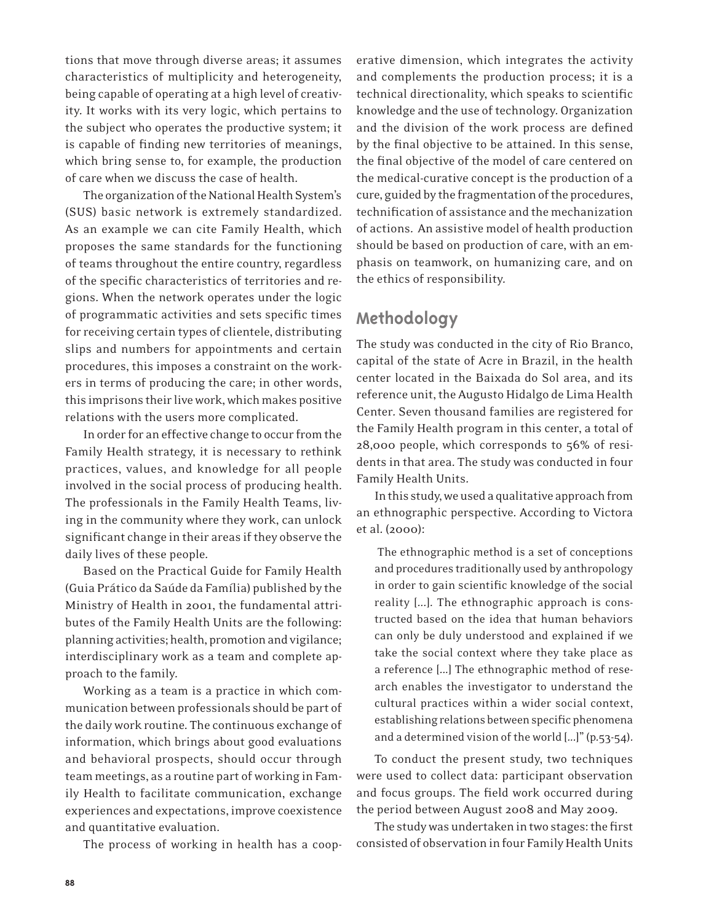tions that move through diverse areas; it assumes characteristics of multiplicity and heterogeneity, being capable of operating at a high level of creativity. It works with its very logic, which pertains to the subject who operates the productive system; it is capable of finding new territories of meanings, which bring sense to, for example, the production of care when we discuss the case of health.

The organization of the National Health System's (SUS) basic network is extremely standardized. As an example we can cite Family Health, which proposes the same standards for the functioning of teams throughout the entire country, regardless of the specific characteristics of territories and regions. When the network operates under the logic of programmatic activities and sets specific times for receiving certain types of clientele, distributing slips and numbers for appointments and certain procedures, this imposes a constraint on the workers in terms of producing the care; in other words, this imprisons their live work, which makes positive relations with the users more complicated.

In order for an effective change to occur from the Family Health strategy, it is necessary to rethink practices, values, and knowledge for all people involved in the social process of producing health. The professionals in the Family Health Teams, living in the community where they work, can unlock significant change in their areas if they observe the daily lives of these people.

Based on the Practical Guide for Family Health (Guia Prático da Saúde da Família) published by the Ministry of Health in 2001, the fundamental attributes of the Family Health Units are the following: planning activities; health, promotion and vigilance; interdisciplinary work as a team and complete approach to the family.

Working as a team is a practice in which communication between professionals should be part of the daily work routine. The continuous exchange of information, which brings about good evaluations and behavioral prospects, should occur through team meetings, as a routine part of working in Family Health to facilitate communication, exchange experiences and expectations, improve coexistence and quantitative evaluation.

The process of working in health has a coop-

erative dimension, which integrates the activity and complements the production process; it is a technical directionality, which speaks to scientific knowledge and the use of technology. Organization and the division of the work process are defined by the final objective to be attained. In this sense, the final objective of the model of care centered on the medical-curative concept is the production of a cure, guided by the fragmentation of the procedures, technification of assistance and the mechanization of actions. An assistive model of health production should be based on production of care, with an emphasis on teamwork, on humanizing care, and on the ethics of responsibility.

### **Methodology**

The study was conducted in the city of Rio Branco, capital of the state of Acre in Brazil, in the health center located in the Baixada do Sol area, and its reference unit, the Augusto Hidalgo de Lima Health Center. Seven thousand families are registered for the Family Health program in this center, a total of 28,000 people, which corresponds to 56% of residents in that area. The study was conducted in four Family Health Units.

In this study, we used a qualitative approach from an ethnographic perspective. According to Victora et al. (2000):

 The ethnographic method is a set of conceptions and procedures traditionally used by anthropology in order to gain scientific knowledge of the social reality [...]. The ethnographic approach is constructed based on the idea that human behaviors can only be duly understood and explained if we take the social context where they take place as a reference [...] The ethnographic method of research enables the investigator to understand the cultural practices within a wider social context, establishing relations between specific phenomena and a determined vision of the world [...]" (p.53-54).

To conduct the present study, two techniques were used to collect data: participant observation and focus groups. The field work occurred during the period between August 2008 and May 2009.

The study was undertaken in two stages: the first consisted of observation in four Family Health Units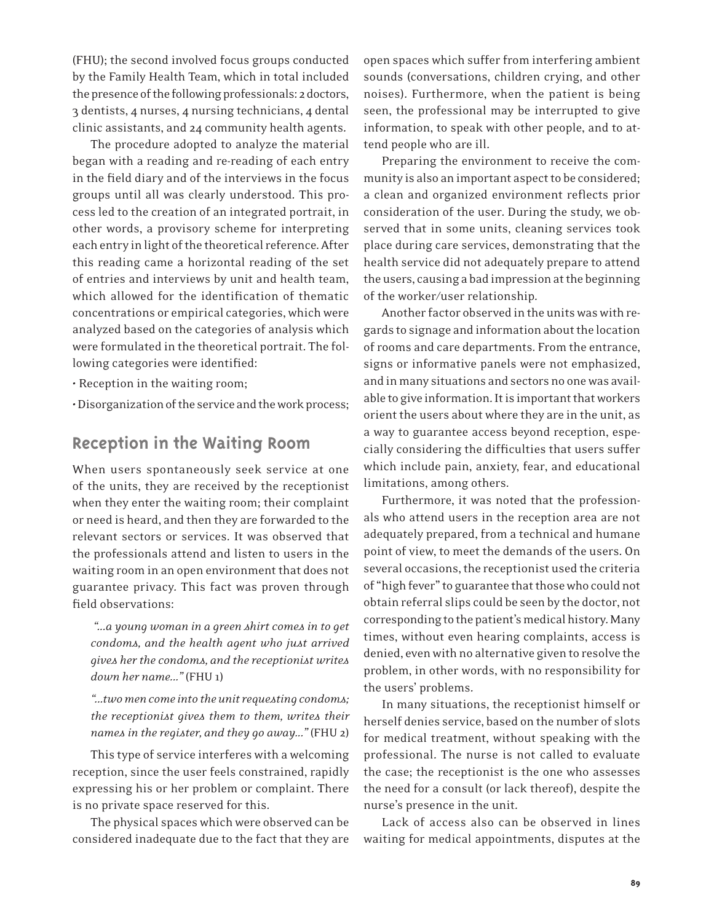(FHU); the second involved focus groups conducted by the Family Health Team, which in total included the presence of the following professionals: 2 doctors, 3 dentists, 4 nurses, 4 nursing technicians, 4 dental clinic assistants, and 24 community health agents.

The procedure adopted to analyze the material began with a reading and re-reading of each entry in the field diary and of the interviews in the focus groups until all was clearly understood. This process led to the creation of an integrated portrait, in other words, a provisory scheme for interpreting each entry in light of the theoretical reference. After this reading came a horizontal reading of the set of entries and interviews by unit and health team, which allowed for the identification of thematic concentrations or empirical categories, which were analyzed based on the categories of analysis which were formulated in the theoretical portrait. The following categories were identified:

• Reception in the waiting room;

• Disorganization of the service and the work process;

#### **Reception in the Waiting Room**

When users spontaneously seek service at one of the units, they are received by the receptionist when they enter the waiting room; their complaint or need is heard, and then they are forwarded to the relevant sectors or services. It was observed that the professionals attend and listen to users in the waiting room in an open environment that does not guarantee privacy. This fact was proven through field observations:

 *"...a young woman in a green shirt comes in to get condoms, and the health agent who just arrived gives her the condoms, and the receptionist writes down her name..."* (FHU 1)

*"...two men come into the unit requesting condoms; the receptionist gives them to them, writes their names in the register, and they go away..."* (FHU 2)

This type of service interferes with a welcoming reception, since the user feels constrained, rapidly expressing his or her problem or complaint. There is no private space reserved for this.

The physical spaces which were observed can be considered inadequate due to the fact that they are

open spaces which suffer from interfering ambient sounds (conversations, children crying, and other noises). Furthermore, when the patient is being seen, the professional may be interrupted to give information, to speak with other people, and to attend people who are ill.

Preparing the environment to receive the community is also an important aspect to be considered; a clean and organized environment reflects prior consideration of the user. During the study, we observed that in some units, cleaning services took place during care services, demonstrating that the health service did not adequately prepare to attend the users, causing a bad impression at the beginning of the worker/user relationship.

Another factor observed in the units was with regards to signage and information about the location of rooms and care departments. From the entrance, signs or informative panels were not emphasized, and in many situations and sectors no one was available to give information. It is important that workers orient the users about where they are in the unit, as a way to guarantee access beyond reception, especially considering the difficulties that users suffer which include pain, anxiety, fear, and educational limitations, among others.

Furthermore, it was noted that the professionals who attend users in the reception area are not adequately prepared, from a technical and humane point of view, to meet the demands of the users. On several occasions, the receptionist used the criteria of "high fever" to guarantee that those who could not obtain referral slips could be seen by the doctor, not corresponding to the patient's medical history. Many times, without even hearing complaints, access is denied, even with no alternative given to resolve the problem, in other words, with no responsibility for the users' problems.

In many situations, the receptionist himself or herself denies service, based on the number of slots for medical treatment, without speaking with the professional. The nurse is not called to evaluate the case; the receptionist is the one who assesses the need for a consult (or lack thereof), despite the nurse's presence in the unit.

Lack of access also can be observed in lines waiting for medical appointments, disputes at the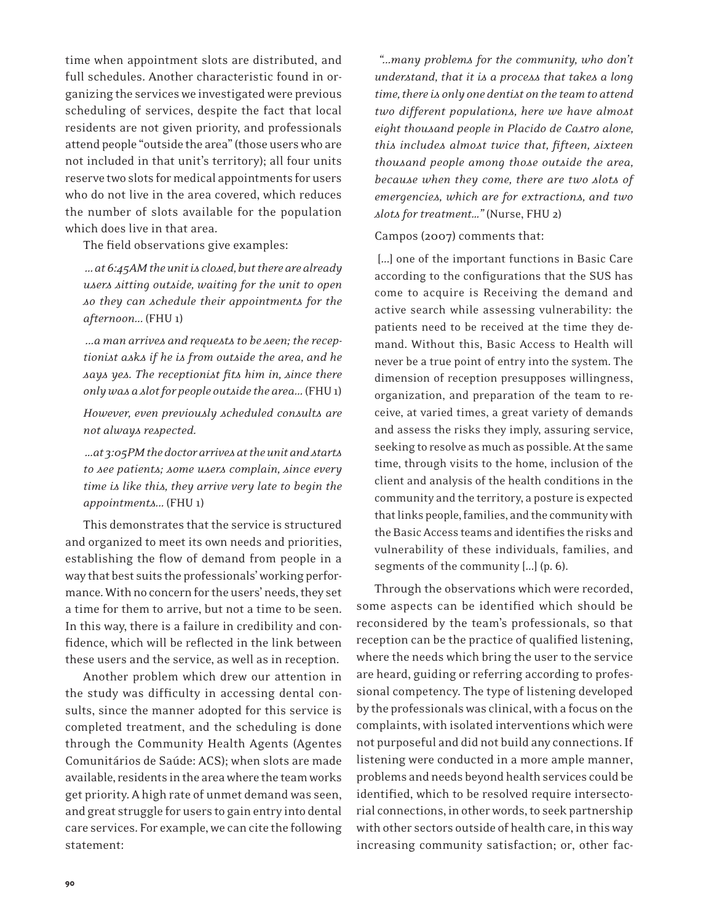time when appointment slots are distributed, and full schedules. Another characteristic found in organizing the services we investigated were previous scheduling of services, despite the fact that local residents are not given priority, and professionals attend people "outside the area" (those users who are not included in that unit's territory); all four units reserve two slots for medical appointments for users who do not live in the area covered, which reduces the number of slots available for the population which does live in that area.

The field observations give examples:

 *... at 6:45AM the unit is closed, but there are already users sitting outside, waiting for the unit to open so they can schedule their appointments for the afternoon...* (FHU 1)

 *...a man arrives and requests to be seen; the receptionist asks if he is from outside the area, and he says yes. The receptionist fits him in, since there only was a slot for people outside the area...* (FHU 1)

*However, even previously scheduled consults are not always respected.*

 *...at 3:05PM the doctor arrives at the unit and starts to see patients; some users complain, since every time is like this, they arrive very late to begin the appointments...* (FHU 1)

This demonstrates that the service is structured and organized to meet its own needs and priorities, establishing the flow of demand from people in a way that best suits the professionals' working performance. With no concern for the users' needs, they set a time for them to arrive, but not a time to be seen. In this way, there is a failure in credibility and confidence, which will be reflected in the link between these users and the service, as well as in reception.

Another problem which drew our attention in the study was difficulty in accessing dental consults, since the manner adopted for this service is completed treatment, and the scheduling is done through the Community Health Agents (Agentes Comunitários de Saúde: ACS); when slots are made available, residents in the area where the team works get priority. A high rate of unmet demand was seen, and great struggle for users to gain entry into dental care services. For example, we can cite the following statement:

 *"...many problems for the community, who don't understand, that it is a process that takes a long time, there is only one dentist on the team to attend two different populations, here we have almost eight thousand people in Placido de Castro alone, this includes almost twice that, fifteen, sixteen thousand people among those outside the area, because when they come, there are two slots of emergencies, which are for extractions, and two slots for treatment…"* (Nurse, FHU 2)

Campos (2007) comments that:

 [...] one of the important functions in Basic Care according to the configurations that the SUS has come to acquire is Receiving the demand and active search while assessing vulnerability: the patients need to be received at the time they demand. Without this, Basic Access to Health will never be a true point of entry into the system. The dimension of reception presupposes willingness, organization, and preparation of the team to receive, at varied times, a great variety of demands and assess the risks they imply, assuring service, seeking to resolve as much as possible. At the same time, through visits to the home, inclusion of the client and analysis of the health conditions in the community and the territory, a posture is expected that links people, families, and the community with the Basic Access teams and identifies the risks and vulnerability of these individuals, families, and segments of the community [...] (p. 6).

Through the observations which were recorded, some aspects can be identified which should be reconsidered by the team's professionals, so that reception can be the practice of qualified listening, where the needs which bring the user to the service are heard, guiding or referring according to professional competency. The type of listening developed by the professionals was clinical, with a focus on the complaints, with isolated interventions which were not purposeful and did not build any connections. If listening were conducted in a more ample manner, problems and needs beyond health services could be identified, which to be resolved require intersectorial connections, in other words, to seek partnership with other sectors outside of health care, in this way increasing community satisfaction; or, other fac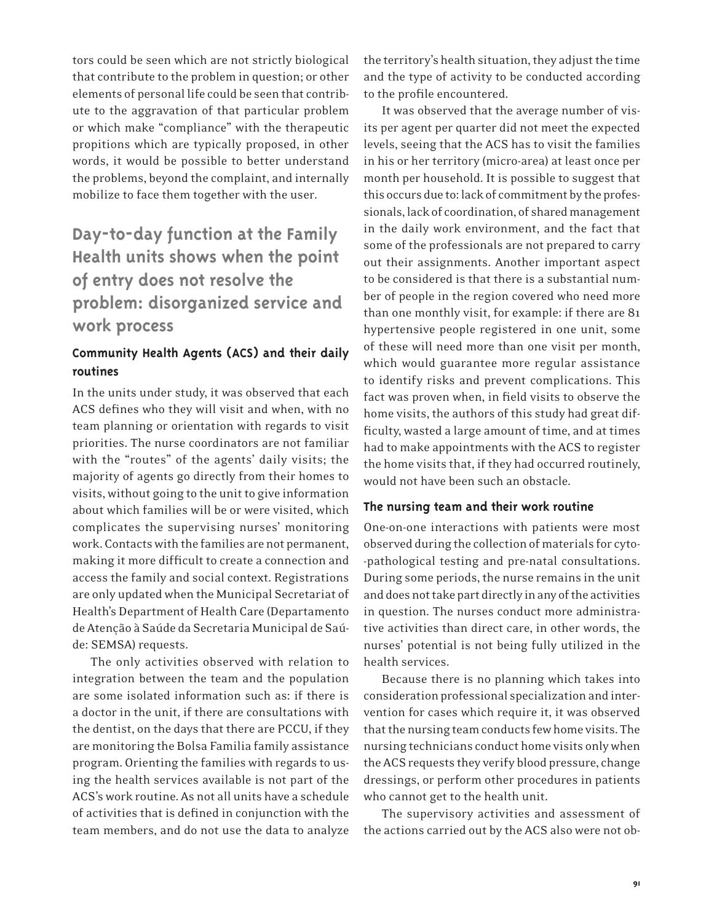tors could be seen which are not strictly biological that contribute to the problem in question; or other elements of personal life could be seen that contribute to the aggravation of that particular problem or which make "compliance" with the therapeutic propitions which are typically proposed, in other words, it would be possible to better understand the problems, beyond the complaint, and internally mobilize to face them together with the user.

# **Day-to-day function at the Family Health units shows when the point of entry does not resolve the problem: disorganized service and work process**

#### **Community Health Agents (ACS) and their daily routines**

In the units under study, it was observed that each ACS defines who they will visit and when, with no team planning or orientation with regards to visit priorities. The nurse coordinators are not familiar with the "routes" of the agents' daily visits; the majority of agents go directly from their homes to visits, without going to the unit to give information about which families will be or were visited, which complicates the supervising nurses' monitoring work. Contacts with the families are not permanent, making it more difficult to create a connection and access the family and social context. Registrations are only updated when the Municipal Secretariat of Health's Department of Health Care (Departamento de Atenção à Saúde da Secretaria Municipal de Saúde: SEMSA) requests.

The only activities observed with relation to integration between the team and the population are some isolated information such as: if there is a doctor in the unit, if there are consultations with the dentist, on the days that there are PCCU, if they are monitoring the Bolsa Familia family assistance program. Orienting the families with regards to using the health services available is not part of the ACS's work routine. As not all units have a schedule of activities that is defined in conjunction with the team members, and do not use the data to analyze

the territory's health situation, they adjust the time and the type of activity to be conducted according to the profile encountered.

It was observed that the average number of visits per agent per quarter did not meet the expected levels, seeing that the ACS has to visit the families in his or her territory (micro-area) at least once per month per household. It is possible to suggest that this occurs due to: lack of commitment by the professionals, lack of coordination, of shared management in the daily work environment, and the fact that some of the professionals are not prepared to carry out their assignments. Another important aspect to be considered is that there is a substantial number of people in the region covered who need more than one monthly visit, for example: if there are 81 hypertensive people registered in one unit, some of these will need more than one visit per month, which would guarantee more regular assistance to identify risks and prevent complications. This fact was proven when, in field visits to observe the home visits, the authors of this study had great difficulty, wasted a large amount of time, and at times had to make appointments with the ACS to register the home visits that, if they had occurred routinely, would not have been such an obstacle.

#### **The nursing team and their work routine**

One-on-one interactions with patients were most observed during the collection of materials for cyto- -pathological testing and pre-natal consultations. During some periods, the nurse remains in the unit and does not take part directly in any of the activities in question. The nurses conduct more administrative activities than direct care, in other words, the nurses' potential is not being fully utilized in the health services.

Because there is no planning which takes into consideration professional specialization and intervention for cases which require it, it was observed that the nursing team conducts few home visits. The nursing technicians conduct home visits only when the ACS requests they verify blood pressure, change dressings, or perform other procedures in patients who cannot get to the health unit.

The supervisory activities and assessment of the actions carried out by the ACS also were not ob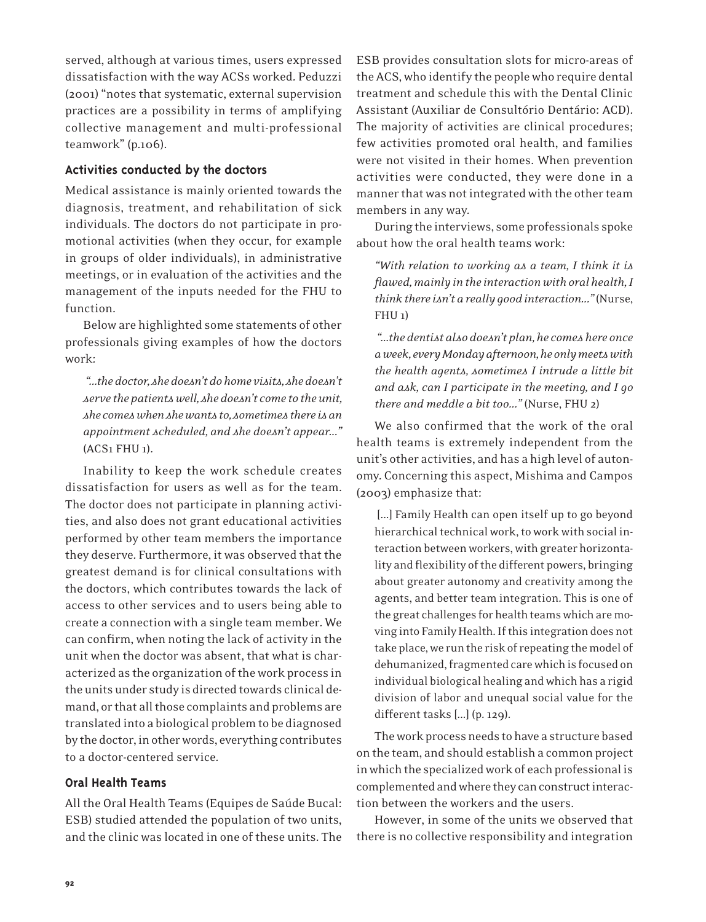served, although at various times, users expressed dissatisfaction with the way ACSs worked. Peduzzi (2001) "notes that systematic, external supervision practices are a possibility in terms of amplifying collective management and multi-professional teamwork" (p.106).

#### **Activities conducted by the doctors**

Medical assistance is mainly oriented towards the diagnosis, treatment, and rehabilitation of sick individuals. The doctors do not participate in promotional activities (when they occur, for example in groups of older individuals), in administrative meetings, or in evaluation of the activities and the management of the inputs needed for the FHU to function.

Below are highlighted some statements of other professionals giving examples of how the doctors work:

 *"...the doctor, she doesn't do home visits, she doesn't serve the patients well, she doesn't come to the unit, she comes when she wants to, sometimes there is an appointment scheduled, and she doesn't appear..."*  (ACS1 FHU 1).

Inability to keep the work schedule creates dissatisfaction for users as well as for the team. The doctor does not participate in planning activities, and also does not grant educational activities performed by other team members the importance they deserve. Furthermore, it was observed that the greatest demand is for clinical consultations with the doctors, which contributes towards the lack of access to other services and to users being able to create a connection with a single team member. We can confirm, when noting the lack of activity in the unit when the doctor was absent, that what is characterized as the organization of the work process in the units under study is directed towards clinical demand, or that all those complaints and problems are translated into a biological problem to be diagnosed by the doctor, in other words, everything contributes to a doctor-centered service.

#### **Oral Health Teams**

All the Oral Health Teams (Equipes de Saúde Bucal: ESB) studied attended the population of two units, and the clinic was located in one of these units. The

ESB provides consultation slots for micro-areas of the ACS, who identify the people who require dental treatment and schedule this with the Dental Clinic Assistant (Auxiliar de Consultório Dentário: ACD). The majority of activities are clinical procedures; few activities promoted oral health, and families were not visited in their homes. When prevention activities were conducted, they were done in a manner that was not integrated with the other team members in any way.

During the interviews, some professionals spoke about how the oral health teams work:

*"With relation to working as a team, I think it is flawed, mainly in the interaction with oral health, I think there isn't a really good interaction..."* (Nurse, FHU 1)

 *"...the dentist also doesn't plan, he comes here once a week, every Monday afternoon, he only meets with the health agents, sometimes I intrude a little bit and ask, can I participate in the meeting, and I go there and meddle a bit too..."* (Nurse, FHU 2)

We also confirmed that the work of the oral health teams is extremely independent from the unit's other activities, and has a high level of autonomy. Concerning this aspect, Mishima and Campos (2003) emphasize that:

[...] Family Health can open itself up to go beyond hierarchical technical work, to work with social interaction between workers, with greater horizontality and flexibility of the different powers, bringing about greater autonomy and creativity among the agents, and better team integration. This is one of the great challenges for health teams which are moving into Family Health. If this integration does not take place, we run the risk of repeating the model of dehumanized, fragmented care which is focused on individual biological healing and which has a rigid division of labor and unequal social value for the different tasks [...] (p. 129).

The work process needs to have a structure based on the team, and should establish a common project in which the specialized work of each professional is complemented and where they can construct interaction between the workers and the users.

However, in some of the units we observed that there is no collective responsibility and integration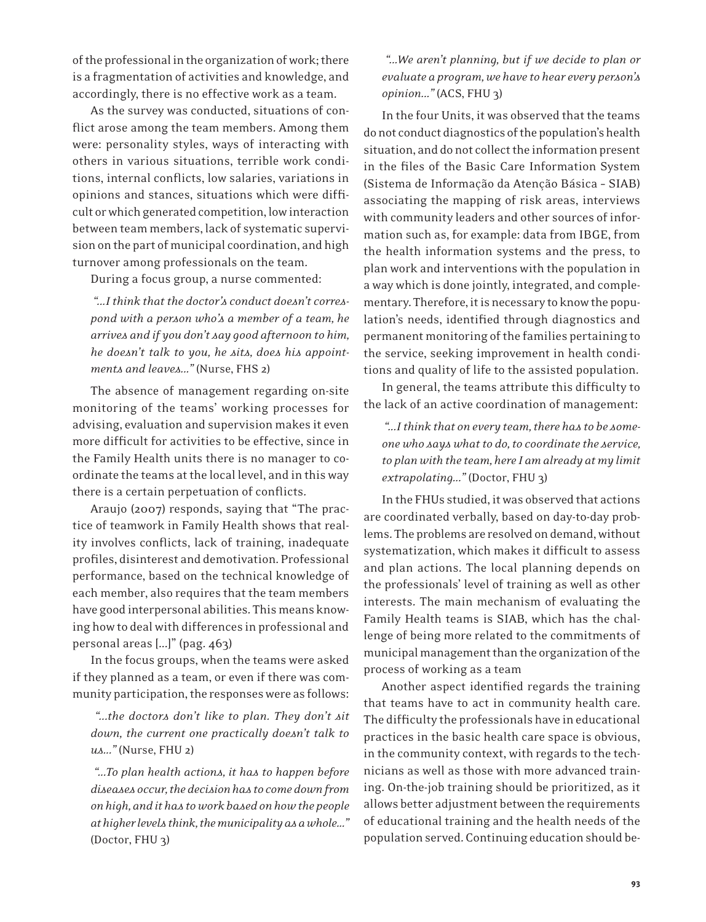of the professional in the organization of work; there is a fragmentation of activities and knowledge, and accordingly, there is no effective work as a team.

As the survey was conducted, situations of conflict arose among the team members. Among them were: personality styles, ways of interacting with others in various situations, terrible work conditions, internal conflicts, low salaries, variations in opinions and stances, situations which were difficult or which generated competition, low interaction between team members, lack of systematic supervision on the part of municipal coordination, and high turnover among professionals on the team.

During a focus group, a nurse commented:

 *"...I think that the doctor's conduct doesn't correspond with a person who's a member of a team, he arrives and if you don't say good afternoon to him, he doesn't talk to you, he sits, does his appointments and leaves..."* (Nurse, FHS 2)

The absence of management regarding on-site monitoring of the teams' working processes for advising, evaluation and supervision makes it even more difficult for activities to be effective, since in the Family Health units there is no manager to coordinate the teams at the local level, and in this way there is a certain perpetuation of conflicts.

Araujo (2007) responds, saying that "The practice of teamwork in Family Health shows that reality involves conflicts, lack of training, inadequate profiles, disinterest and demotivation. Professional performance, based on the technical knowledge of each member, also requires that the team members have good interpersonal abilities. This means knowing how to deal with differences in professional and personal areas [...]" (pag. 463)

In the focus groups, when the teams were asked if they planned as a team, or even if there was community participation, the responses were as follows:

 *"...the doctors don't like to plan. They don't sit down, the current one practically doesn't talk to us..."* (Nurse, FHU 2)

 *"...To plan health actions, it has to happen before diseases occur, the decision has to come down from on high, and it has to work based on how the people at higher levels think, the municipality as a whole..."*  (Doctor, FHU 3)

 *"...We aren't planning, but if we decide to plan or evaluate a program, we have to hear every person's opinion..."* (ACS, FHU 3)

In the four Units, it was observed that the teams do not conduct diagnostics of the population's health situation, and do not collect the information present in the files of the Basic Care Information System (Sistema de Informação da Atenção Básica – SIAB) associating the mapping of risk areas, interviews with community leaders and other sources of information such as, for example: data from IBGE, from the health information systems and the press, to plan work and interventions with the population in a way which is done jointly, integrated, and complementary. Therefore, it is necessary to know the population's needs, identified through diagnostics and permanent monitoring of the families pertaining to the service, seeking improvement in health conditions and quality of life to the assisted population.

In general, the teams attribute this difficulty to the lack of an active coordination of management:

 *"...I think that on every team, there has to be someone who says what to do, to coordinate the service, to plan with the team, here I am already at my limit extrapolating..."* (Doctor, FHU 3)

In the FHUs studied, it was observed that actions are coordinated verbally, based on day-to-day problems. The problems are resolved on demand, without systematization, which makes it difficult to assess and plan actions. The local planning depends on the professionals' level of training as well as other interests. The main mechanism of evaluating the Family Health teams is SIAB, which has the challenge of being more related to the commitments of municipal management than the organization of the process of working as a team

Another aspect identified regards the training that teams have to act in community health care. The difficulty the professionals have in educational practices in the basic health care space is obvious, in the community context, with regards to the technicians as well as those with more advanced training. On-the-job training should be prioritized, as it allows better adjustment between the requirements of educational training and the health needs of the population served. Continuing education should be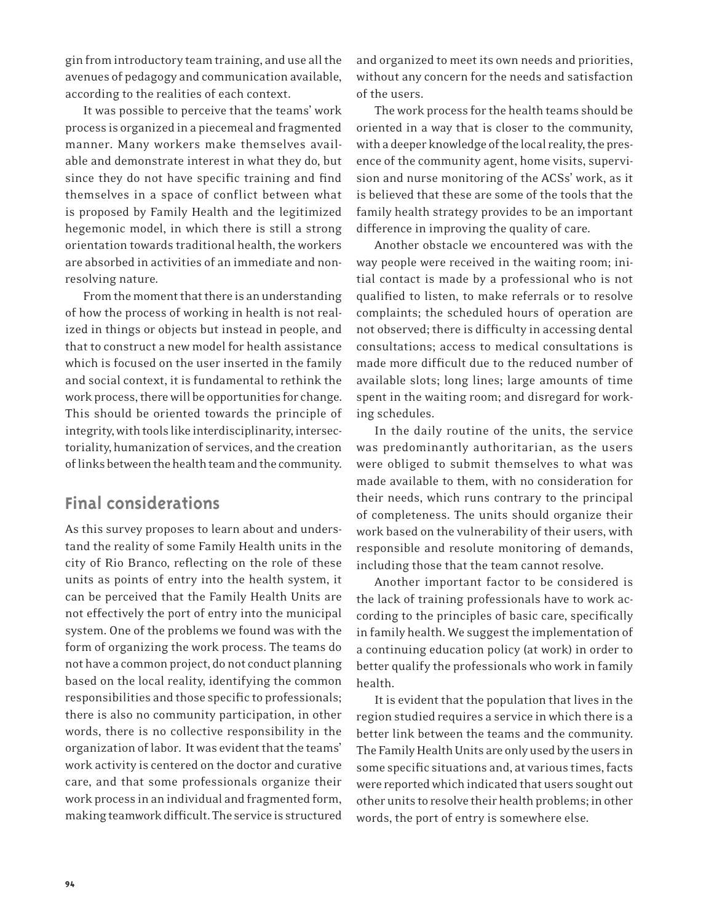gin from introductory team training, and use all the avenues of pedagogy and communication available, according to the realities of each context.

It was possible to perceive that the teams' work process is organized in a piecemeal and fragmented manner. Many workers make themselves available and demonstrate interest in what they do, but since they do not have specific training and find themselves in a space of conflict between what is proposed by Family Health and the legitimized hegemonic model, in which there is still a strong orientation towards traditional health, the workers are absorbed in activities of an immediate and nonresolving nature.

From the moment that there is an understanding of how the process of working in health is not realized in things or objects but instead in people, and that to construct a new model for health assistance which is focused on the user inserted in the family and social context, it is fundamental to rethink the work process, there will be opportunities for change. This should be oriented towards the principle of integrity, with tools like interdisciplinarity, intersectoriality, humanization of services, and the creation of links between the health team and the community.

## **Final considerations**

As this survey proposes to learn about and understand the reality of some Family Health units in the city of Rio Branco, reflecting on the role of these units as points of entry into the health system, it can be perceived that the Family Health Units are not effectively the port of entry into the municipal system. One of the problems we found was with the form of organizing the work process. The teams do not have a common project, do not conduct planning based on the local reality, identifying the common responsibilities and those specific to professionals; there is also no community participation, in other words, there is no collective responsibility in the organization of labor. It was evident that the teams' work activity is centered on the doctor and curative care, and that some professionals organize their work process in an individual and fragmented form, making teamwork difficult. The service is structured

and organized to meet its own needs and priorities, without any concern for the needs and satisfaction of the users.

The work process for the health teams should be oriented in a way that is closer to the community, with a deeper knowledge of the local reality, the presence of the community agent, home visits, supervision and nurse monitoring of the ACSs' work, as it is believed that these are some of the tools that the family health strategy provides to be an important difference in improving the quality of care.

Another obstacle we encountered was with the way people were received in the waiting room; initial contact is made by a professional who is not qualified to listen, to make referrals or to resolve complaints; the scheduled hours of operation are not observed; there is difficulty in accessing dental consultations; access to medical consultations is made more difficult due to the reduced number of available slots; long lines; large amounts of time spent in the waiting room; and disregard for working schedules.

In the daily routine of the units, the service was predominantly authoritarian, as the users were obliged to submit themselves to what was made available to them, with no consideration for their needs, which runs contrary to the principal of completeness. The units should organize their work based on the vulnerability of their users, with responsible and resolute monitoring of demands, including those that the team cannot resolve.

Another important factor to be considered is the lack of training professionals have to work according to the principles of basic care, specifically in family health. We suggest the implementation of a continuing education policy (at work) in order to better qualify the professionals who work in family health.

It is evident that the population that lives in the region studied requires a service in which there is a better link between the teams and the community. The Family Health Units are only used by the users in some specific situations and, at various times, facts were reported which indicated that users sought out other units to resolve their health problems; in other words, the port of entry is somewhere else.